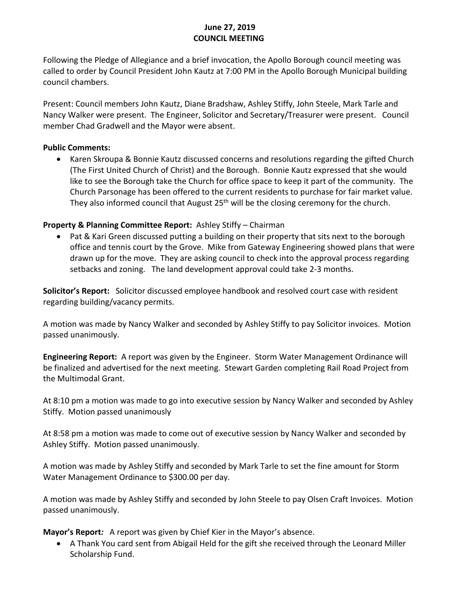## **June 27, 2019 COUNCIL MEETING**

Following the Pledge of Allegiance and a brief invocation, the Apollo Borough council meeting was called to order by Council President John Kautz at 7:00 PM in the Apollo Borough Municipal building council chambers.

Present: Council members John Kautz, Diane Bradshaw, Ashley Stiffy, John Steele, Mark Tarle and Nancy Walker were present. The Engineer, Solicitor and Secretary/Treasurer were present. Council member Chad Gradwell and the Mayor were absent.

#### **Public Comments:**

• Karen Skroupa & Bonnie Kautz discussed concerns and resolutions regarding the gifted Church (The First United Church of Christ) and the Borough. Bonnie Kautz expressed that she would like to see the Borough take the Church for office space to keep it part of the community. The Church Parsonage has been offered to the current residents to purchase for fair market value. They also informed council that August 25<sup>th</sup> will be the closing ceremony for the church.

## **Property & Planning Committee Report:**Ashley Stiffy – Chairman

• Pat & Kari Green discussed putting a building on their property that sits next to the borough office and tennis court by the Grove. Mike from Gateway Engineering showed plans that were drawn up for the move. They are asking council to check into the approval process regarding setbacks and zoning. The land development approval could take 2-3 months.

**Solicitor's Report:** Solicitor discussed employee handbook and resolved court case with resident regarding building/vacancy permits.

A motion was made by Nancy Walker and seconded by Ashley Stiffy to pay Solicitor invoices. Motion passed unanimously.

**Engineering Report:** A report was given by the Engineer. Storm Water Management Ordinance will be finalized and advertised for the next meeting. Stewart Garden completing Rail Road Project from the Multimodal Grant.

At 8:10 pm a motion was made to go into executive session by Nancy Walker and seconded by Ashley Stiffy. Motion passed unanimously

At 8:58 pm a motion was made to come out of executive session by Nancy Walker and seconded by Ashley Stiffy. Motion passed unanimously.

A motion was made by Ashley Stiffy and seconded by Mark Tarle to set the fine amount for Storm Water Management Ordinance to \$300.00 per day.

A motion was made by Ashley Stiffy and seconded by John Steele to pay Olsen Craft Invoices. Motion passed unanimously.

**Mayor's Report***:* A report was given by Chief Kier in the Mayor's absence.

• A Thank You card sent from Abigail Held for the gift she received through the Leonard Miller Scholarship Fund.